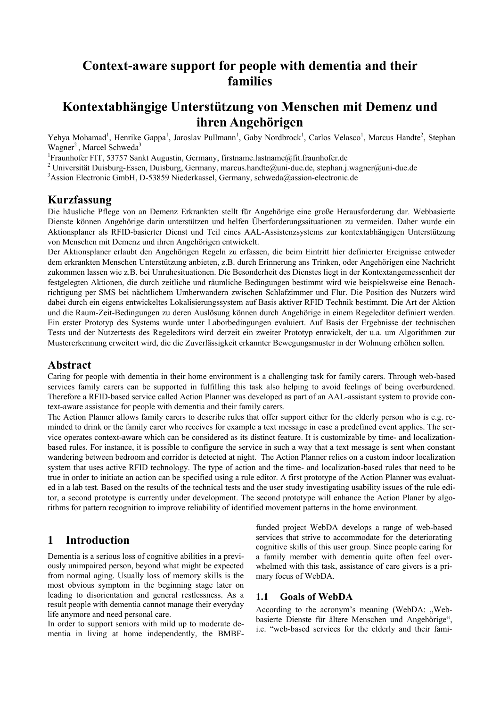# **Context-aware support for people with dementia and their families**

# **Kontextabhängige Unterstützung von Menschen mit Demenz und ihren Angehörigen**

Yehya Mohamad<sup>1</sup>, Henrike Gappa<sup>1</sup>, Jaroslav Pullmann<sup>1</sup>, Gaby Nordbrock<sup>1</sup>, Carlos Velasco<sup>1</sup>, Marcus Handte<sup>2</sup>, Stephan Wagner<sup>2</sup>, Marcel Schweda<sup>3</sup>

<sup>1</sup>Fraunhofer FIT, 53757 Sankt Augustin, Germany, firstname.lastname@fit.fraunhofer.de

<sup>2</sup> Universität Duisburg-Essen, Duisburg, Germany, marcus.handte@uni-due.de, stephan.j.wagner@uni-due.de

<sup>3</sup>Assion Electronic GmbH, D-53859 Niederkassel, Germany, schweda@assion-electronic.de

### **Kurzfassung**

Die häusliche Pflege von an Demenz Erkrankten stellt für Angehörige eine große Herausforderung dar. Webbasierte Dienste können Angehörige darin unterstützen und helfen Überforderungssituationen zu vermeiden. Daher wurde ein Aktionsplaner als RFID-basierter Dienst und Teil eines AAL-Assistenzsystems zur kontextabhängigen Unterstützung von Menschen mit Demenz und ihren Angehörigen entwickelt.

Der Aktionsplaner erlaubt den Angehörigen Regeln zu erfassen, die beim Eintritt hier definierter Ereignisse entweder dem erkrankten Menschen Unterstützung anbieten, z.B. durch Erinnerung ans Trinken, oder Angehörigen eine Nachricht zukommen lassen wie z.B. bei Unruhesituationen. Die Besonderheit des Dienstes liegt in der Kontextangemessenheit der festgelegten Aktionen, die durch zeitliche und räumliche Bedingungen bestimmt wird wie beispielsweise eine Benachrichtigung per SMS bei nächtlichem Umherwandern zwischen Schlafzimmer und Flur. Die Position des Nutzers wird dabei durch ein eigens entwickeltes Lokalisierungssystem auf Basis aktiver RFID Technik bestimmt. Die Art der Aktion und die Raum-Zeit-Bedingungen zu deren Auslösung können durch Angehörige in einem Regeleditor definiert werden. Ein erster Prototyp des Systems wurde unter Laborbedingungen evaluiert. Auf Basis der Ergebnisse der technischen Tests und der Nutzertests des Regeleditors wird derzeit ein zweiter Prototyp entwickelt, der u.a. um Algorithmen zur Mustererkennung erweitert wird, die die Zuverlässigkeit erkannter Bewegungsmuster in der Wohnung erhöhen sollen.

### **Abstract**

Caring for people with dementia in their home environment is a challenging task for family carers. Through web-based services family carers can be supported in fulfilling this task also helping to avoid feelings of being overburdened. Therefore a RFID-based service called Action Planner was developed as part of an AAL-assistant system to provide context-aware assistance for people with dementia and their family carers.

The Action Planner allows family carers to describe rules that offer support either for the elderly person who is e.g. reminded to drink or the family carer who receives for example a text message in case a predefined event applies. The service operates context-aware which can be considered as its distinct feature. It is customizable by time- and localizationbased rules. For instance, it is possible to configure the service in such a way that a text message is sent when constant wandering between bedroom and corridor is detected at night. The Action Planner relies on a custom indoor localization system that uses active RFID technology. The type of action and the time- and localization-based rules that need to be true in order to initiate an action can be specified using a rule editor. A first prototype of the Action Planner was evaluated in a lab test. Based on the results of the technical tests and the user study investigating usability issues of the rule editor, a second prototype is currently under development. The second prototype will enhance the Action Planer by algorithms for pattern recognition to improve reliability of identified movement patterns in the home environment.

# **1 Introduction**

Dementia is a serious loss of cognitive abilities in a previously unimpaired person, beyond what might be expected from normal aging. Usually loss of memory skills is the most obvious symptom in the beginning stage later on leading to disorientation and general restlessness. As a result people with dementia cannot manage their everyday life anymore and need personal care.

In order to support seniors with mild up to moderate dementia in living at home independently, the BMBF-

funded project WebDA develops a range of web-based services that strive to accommodate for the deteriorating cognitive skills of this user group. Since people caring for a family member with dementia quite often feel overwhelmed with this task, assistance of care givers is a primary focus of WebDA.

### **1.1 Goals of WebDA**

According to the acronym's meaning (WebDA: "Webbasierte Dienste für ältere Menschen und Angehörige", i.e. "web-based services for the elderly and their fami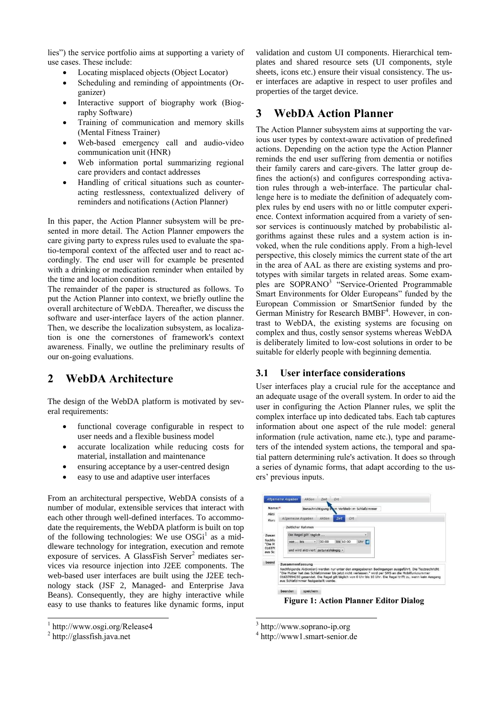lies") the service portfolio aims at supporting a variety of use cases. These include:

- Locating misplaced objects (Object Locator)
- Scheduling and reminding of appointments (Organizer)
- Interactive support of biography work (Biography Software)
- Training of communication and memory skills (Mental Fitness Trainer)
- Web-based emergency call and audio-video communication unit (HNR)
- Web information portal summarizing regional care providers and contact addresses
- Handling of critical situations such as counteracting restlessness, contextualized delivery of reminders and notifications (Action Planner)

In this paper, the Action Planner subsystem will be presented in more detail. The Action Planner empowers the care giving party to express rules used to evaluate the spatio-temporal context of the affected user and to react accordingly. The end user will for example be presented with a drinking or medication reminder when entailed by the time and location conditions.

The remainder of the paper is structured as follows. To put the Action Planner into context, we briefly outline the overall architecture of WebDA. Thereafter, we discuss the software and user-interface layers of the action planner. Then, we describe the localization subsystem, as localization is one the cornerstones of framework's context awareness. Finally, we outline the preliminary results of our on-going evaluations.

# **2 WebDA Architecture**

The design of the WebDA platform is motivated by several requirements:

- functional coverage configurable in respect to user needs and a flexible business model
- accurate localization while reducing costs for material, installation and maintenance
- ensuring acceptance by a user-centred design
- easy to use and adaptive user interfaces

From an architectural perspective, WebDA consists of a number of modular, extensible services that interact with each other through well-defined interfaces. To accommodate the requirements, the WebDA platform is built on top of the following technologies: We use  $OSGi<sup>1</sup>$  as a middleware technology for integration, execution and remote exposure of services. A GlassFish Server<sup>2</sup> mediates services via resource injection into J2EE components. The web-based user interfaces are built using the J2EE technology stack (JSF 2, Managed- and Enterprise Java Beans). Consequently, they are highy interactive while easy to use thanks to features like dynamic forms, input

 $\overline{a}$ 

validation and custom UI components. Hierarchical templates and shared resource sets (UI components, style sheets, icons etc.) ensure their visual consistency. The user interfaces are adaptive in respect to user profiles and properties of the target device.

# **3 WebDA Action Planner**

The Action Planner subsystem aims at supporting the various user types by context-aware activation of predefined actions. Depending on the action type the Action Planner reminds the end user suffering from dementia or notifies their family carers and care-givers. The latter group defines the action(s) and configures corresponding activation rules through a web-interface. The particular challenge here is to mediate the definition of adequately complex rules by end users with no or little computer experience. Context information acquired from a variety of sensor services is continuously matched by probabilistic algorithms against these rules and a system action is invoked, when the rule conditions apply. From a high-level perspective, this closely mimics the current state of the art in the area of AAL as there are existing systems and prototypes with similar targets in related areas. Some examples are SOPRANO<sup>3</sup> "Service-Oriented Programmable Smart Environments for Older Europeans" funded by the European Commission or SmartSenior funded by the German Ministry for Research BMBF<sup>4</sup>. However, in contrast to WebDA, the existing systems are focusing on complex and thus, costly sensor systems whereas WebDA is deliberately limited to low-cost solutions in order to be suitable for elderly people with beginning dementia.

## **3.1 User interface considerations**

User interfaces play a crucial rule for the acceptance and an adequate usage of the overall system. In order to aid the user in configuring the Action Planner rules, we split the complex interface up into dedicated tabs. Each tab captures information about one aspect of the rule model: general information (rule activation, name etc.), type and parameters of the intended system actions, the temporal and spatial pattern determining rule's activation. It does so through a series of dynamic forms, that adapt according to the users' previous inputs.



<sup>3</sup> http://www.soprano-ip.org

1

<sup>1</sup> http://www.osgi.org/Release4

<sup>2</sup> http://glassfish.java.net

<sup>4</sup> http://www1.smart-senior.de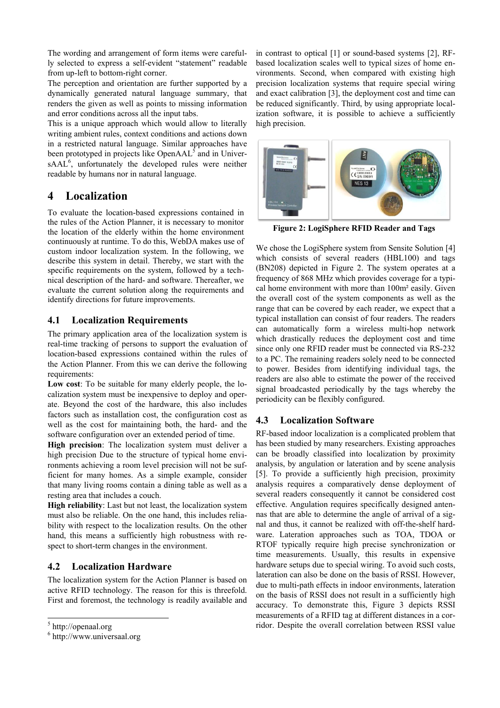The wording and arrangement of form items were carefully selected to express a self-evident "statement" readable from up-left to bottom-right corner.

The perception and orientation are further supported by a dynamically generated natural language summary, that renders the given as well as points to missing information and error conditions across all the input tabs.

This is a unique approach which would allow to literally writing ambient rules, context conditions and actions down in a restricted natural language. Similar approaches have been prototyped in projects like OpenAAL<sup>5</sup> and in UniversAAL<sup>6</sup>, unfortunately the developed rules were neither readable by humans nor in natural language.

# **4 Localization**

To evaluate the location-based expressions contained in the rules of the Action Planner, it is necessary to monitor the location of the elderly within the home environment continuously at runtime. To do this, WebDA makes use of custom indoor localization system. In the following, we describe this system in detail. Thereby, we start with the specific requirements on the system, followed by a technical description of the hard- and software. Thereafter, we evaluate the current solution along the requirements and identify directions for future improvements.

### **4.1 Localization Requirements**

The primary application area of the localization system is real-time tracking of persons to support the evaluation of location-based expressions contained within the rules of the Action Planner. From this we can derive the following requirements:

**Low cost**: To be suitable for many elderly people, the localization system must be inexpensive to deploy and operate. Beyond the cost of the hardware, this also includes factors such as installation cost, the configuration cost as well as the cost for maintaining both, the hard- and the software configuration over an extended period of time.

**High precision**: The localization system must deliver a high precision Due to the structure of typical home environments achieving a room level precision will not be sufficient for many homes. As a simple example, consider that many living rooms contain a dining table as well as a resting area that includes a couch.

**High reliability**: Last but not least, the localization system must also be reliable. On the one hand, this includes reliability with respect to the localization results. On the other hand, this means a sufficiently high robustness with respect to short-term changes in the environment.

### **4.2 Localization Hardware**

The localization system for the Action Planner is based on active RFID technology. The reason for this is threefold. First and foremost, the technology is readily available and

 $\overline{a}$ 

in contrast to optical [\[1\]](#page-4-0) or sound-based systems [\[2\],](#page-4-1) RFbased localization scales well to typical sizes of home environments. Second, when compared with existing high precision localization systems that require special wiring and exact calibration [\[3\],](#page-4-2) the deployment cost and time can be reduced significantly. Third, by using appropriate localization software, it is possible to achieve a sufficiently high precision.



**Figure 2: LogiSphere RFID Reader and Tags**

We chose the LogiSphere system from Sensite Solutio[n \[4\]](#page-4-3) which consists of several readers (HBL100) and tags (BN208) depicted in Figure 2. The system operates at a frequency of 868 MHz which provides coverage for a typical home environment with more than 100m² easily. Given the overall cost of the system components as well as the range that can be covered by each reader, we expect that a typical installation can consist of four readers. The readers can automatically form a wireless multi-hop network which drastically reduces the deployment cost and time since only one RFID reader must be connected via RS-232 to a PC. The remaining readers solely need to be connected to power. Besides from identifying individual tags, the readers are also able to estimate the power of the received signal broadcasted periodically by the tags whereby the periodicity can be flexibly configured.

## **4.3 Localization Software Localization Software**

RF-based indoor localization is a complicated problem that has been studied by many researchers. Existing approaches can be broadly classified into localization by proximity analysis, by angulation or lateration and by scene analysis [\[5\].](#page-4-4) To provide a sufficiently high precision, proximity analysis requires a comparatively dense deployment of several readers consequently it cannot be considered cost effective. Angulation requires specifically designed antennas that are able to determine the angle of arrival of a signal and thus, it cannot be realized with off-the-shelf hardware. Lateration approaches such as TOA, TDOA or RTOF typically require high precise synchronization or time measurements. Usually, this results in expensive hardware setups due to special wiring. To avoid such costs, lateration can also be done on the basis of RSSI. However, due to multi-path effects in indoor environments, lateration on the basis of RSSI does not result in a sufficiently high accuracy. To demonstrate this, Figure 3 depicts RSSI measurements of a RFID tag at different distances in a corridor. Despite the overall correlation between RSSI value

<sup>&</sup>lt;sup>5</sup> http://openaal.org

<sup>6</sup> http://www.universaal.org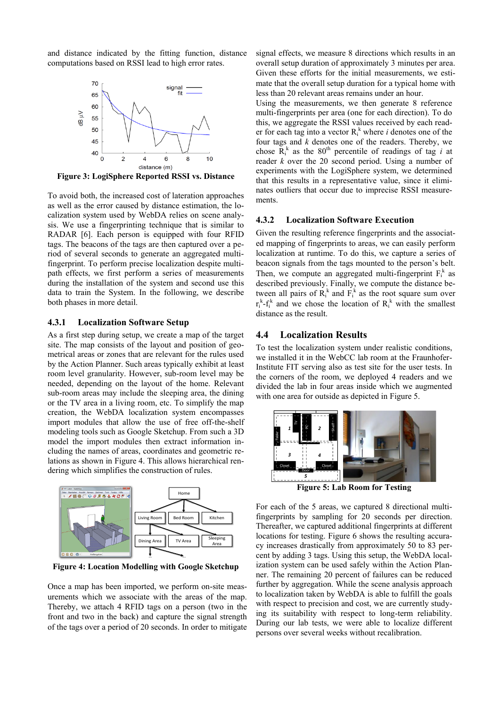and distance indicated by the fitting function, distance computations based on RSSI lead to high error rates.



**Figure 3: LogiSphere Reported RSSI vs. Distance**

To avoid both, the increased cost of lateration approaches as well as the error caused by distance estimation, the localization system used by WebDA relies on scene analysis. We use a fingerprinting technique that is similar to RADAR [\[6\].](#page-4-5) Each person is equipped with four RFID tags. The beacons of the tags are then captured over a period of several seconds to generate an aggregated multifingerprint. To perform precise localization despite multipath effects, we first perform a series of measurements during the installation of the system and second use this data to train the System. In the following, we describe both phases in more detail.

#### **4.3.1 Localization Software Setup**

As a first step during setup, we create a map of the target site. The map consists of the layout and position of geometrical areas or zones that are relevant for the rules used by the Action Planner. Such areas typically exhibit at least room level granularity. However, sub-room level may be needed, depending on the layout of the home. Relevant sub-room areas may include the sleeping area, the dining or the TV area in a living room, etc. To simplify the map creation, the WebDA localization system encompasses import modules that allow the use of free off-the-shelf modeling tools such as Google Sketchup. From such a 3D model the import modules then extract information including the names of areas, coordinates and geometric relations as shown in Figure 4. This allows hierarchical rendering which simplifies the construction of rules.



**Figure 4: Location Modelling with Google Sketchup**

Once a map has been imported, we perform on-site measurements which we associate with the areas of the map. Thereby, we attach 4 RFID tags on a person (two in the front and two in the back) and capture the signal strength of the tags over a period of 20 seconds. In order to mitigate signal effects, we measure 8 directions which results in an overall setup duration of approximately 3 minutes per area. Given these efforts for the initial measurements, we estimate that the overall setup duration for a typical home with less than 20 relevant areas remains under an hour.

Using the measurements, we then generate 8 reference multi-fingerprints per area (one for each direction). To do this, we aggregate the RSSI values received by each reader for each tag into a vector  $R_i^k$  where *i* denotes one of the four tags and *k* denotes one of the readers. Thereby, we chose  $\overline{R}_i^k$  as the 80<sup>th</sup> percentile of readings of tag *i* at reader *k* over the 20 second period. Using a number of experiments with the LogiSphere system, we determined that this results in a representative value, since it eliminates outliers that occur due to imprecise RSSI measurements.

#### **4.3.2 Localization Software Execution**

Given the resulting reference fingerprints and the associated mapping of fingerprints to areas, we can easily perform localization at runtime. To do this, we capture a series of beacon signals from the tags mounted to the person's belt. Then, we compute an aggregated multi-fingerprint  $F_i^k$  as described previously. Finally, we compute the distance between all pairs of  $R_i^k$  and  $F_i^k$  as the root square sum over  $r_i^k$ - $f_i^k$  and we chose the location of  $R_i^k$  with the smallest distance as the result.

#### **4.4 Localization Results**

To test the localization system under realistic conditions, we installed it in the WebCC lab room at the Fraunhofer-Institute FIT serving also as test site for the user tests. In the corners of the room, we deployed 4 readers and we divided the lab in four areas inside which we augmented with one area for outside as depicted in Figure 5.



**Figure 5: Lab Room for Testing**

For each of the 5 areas, we captured 8 directional multifingerprints by sampling for 20 seconds per direction. Thereafter, we captured additional fingerprints at different locations for testing. Figure 6 shows the resulting accuracy increases drastically from approximately 50 to 83 percent by adding 3 tags. Using this setup, the WebDA localization system can be used safely within the Action Planner. The remaining 20 percent of failures can be reduced further by aggregation. While the scene analysis approach to localization taken by WebDA is able to fulfill the goals with respect to precision and cost, we are currently studying its suitability with respect to long-term reliability. During our lab tests, we were able to localize different persons over several weeks without recalibration.